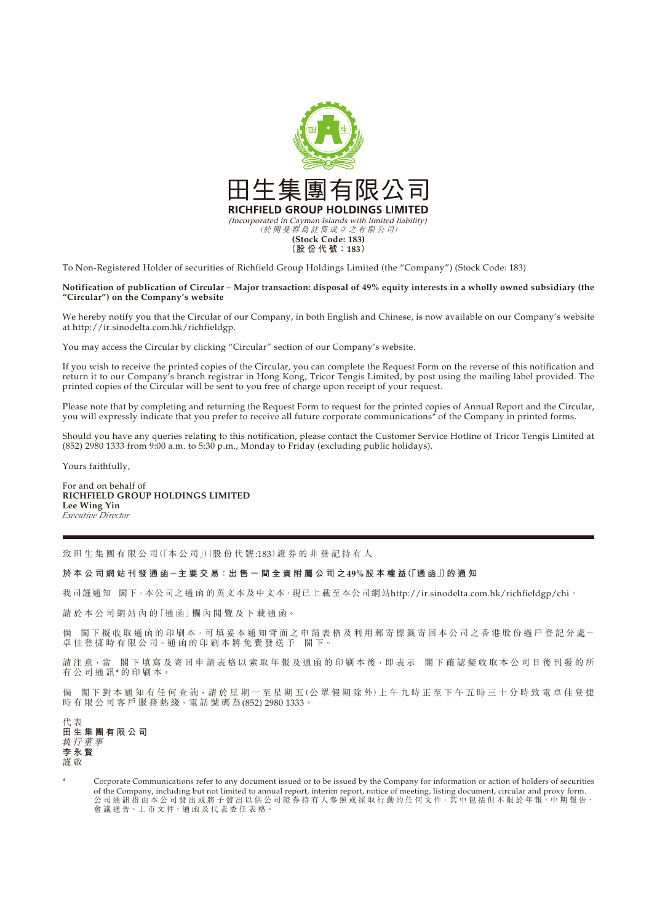

To Non-Registered Holder of securities of Richfield Group Holdings Limited (the "Company") (Stock Code: 183)

**Notification of publication of Circular – Major transaction: disposal of 49% equity interests in a wholly owned subsidiary (the "Circular") on the Company's website**

We hereby notify you that the Circular of our Company, in both English and Chinese, is now available on our Company's website at http://ir.sinodelta.com.hk/richfieldgp.

You may access the Circular by clicking "Circular" section of our Company's website.

If you wish to receive the printed copies of the Circular, you can complete the Request Form on the reverse of this notification and return it to our Company's branch registrar in Hong Kong, Tricor Tengis Limited, by post using the mailing label provided. The printed copies of the Circular will be sent to you free of charge upon receipt of your request.

Please note that by completing and returning the Request Form to request for the printed copies of Annual Report and the Circular, you will expressly indicate that you prefer to receive all future corporate communications<sup>\*</sup> of the Company in printed forms.

Should you have any queries relating to this notification, please contact the Customer Service Hotline of Tricor Tengis Limited at (852) 2980 1333 from 9:00 a.m. to 5:30 p.m., Monday to Friday (excluding public holidays).

Yours faithfully,

For and on behalf of **RICHFIELD GROUP HOLDINGS LIMITED Lee Wing Yin** *Executive Director*

致田生集團有限公司(「本公司」)(股份代號:183)證券的非登記持有人

**於 本 公 司 網 站 刊 發 通 函-主 要 交 易:出 售 一 間 全 資 附 屬 公 司 之49%股本權益(「通 函」)的通知**

我司謹通知 閣下,本公司之通函的英文本及中文本,現已上載至本公司網站http://ir.sinodelta.com.hk/richfieldgp/chi。

請於本公司網站內的「通函」欄內閱覽及下載通函。

倘 閣下擬收取通函的印刷本,可填妥本通知背面之申請表格及利用郵寄標籤寄回本公司之香港股份過戶登記分處一 卓佳登捷時有限公司。通函的印刷本將免費發送予 閣下。

請注意,當 閣下填寫及寄回申請表格以索取年報及通函的印刷本後,即表示 閣下確認擬收取本公司日後刊發的所 有公司通訊\*的印刷本。

倘 閣下對本通知有任何查詢,請於星期一至星期五(公眾假期除外)上午九時正至下午五時三十分時致電卓佳登捷 時 有 限 公 司 客 戶 服 務 熱 綫, 電 話 號 碼 為 (852) 2980 1333。

代 表 **田生集團有限公司** 執行董事 **李永賢** 謹 啟

Corporate Communications refer to any document issued or to be issued by the Company for information or action of holders of securities of the Company, including but not limited to annual report, interim report, notice of meeting, listing document, circular and proxy form. 公 司 通 訊 指 由 本 公 司 發 出 或 將 予 發 出 以 供 公 司 證 券 持 有 人 參 照 或 採 取 行 動 的 任 何 文 件,其 中 包 括 但 不 限 於 年 報、中 期 報 告、 **台 3 急 航 温 昌 十 昌 3 众 昌 众 府 ; 众 昌 夕 於 昌**